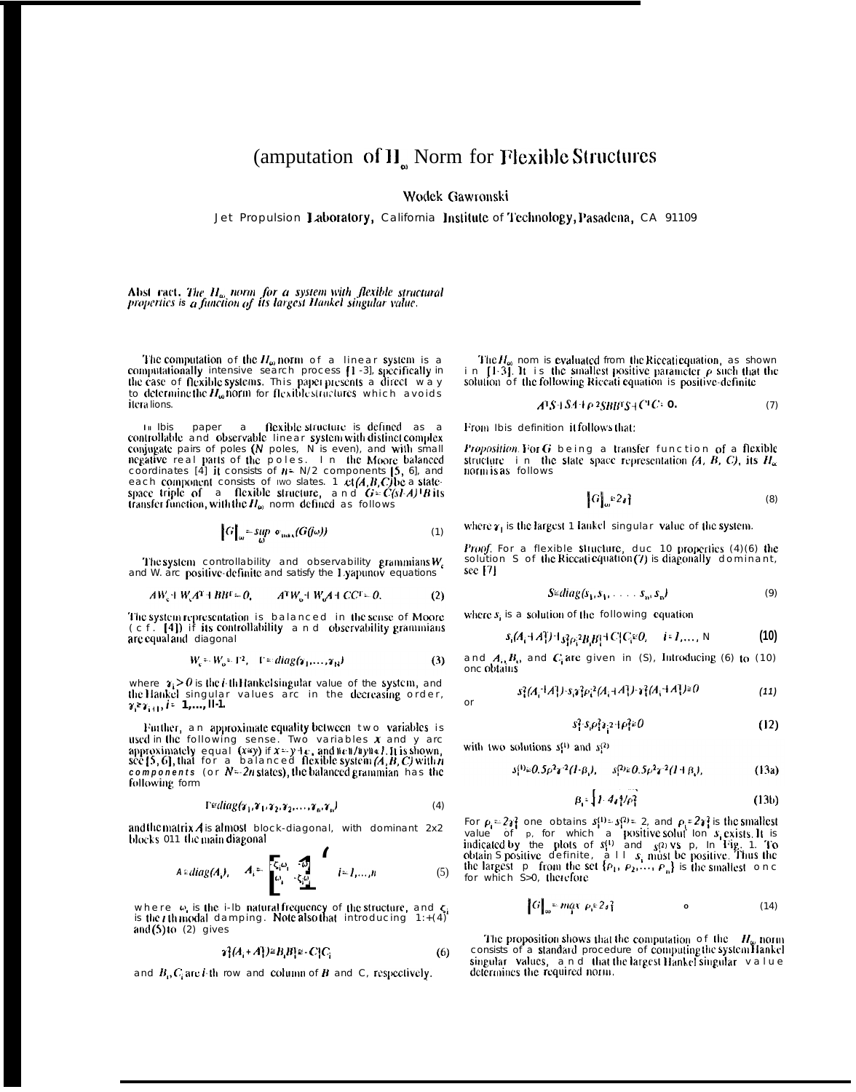## (amputation of II<sub>n</sub> Norm for Flexible Structures

Wodek Gawronski

Jet Propulsion Laboratory, California Institute of Technology, Pasadena, CA 91109

Abst ract, The  $H_{\omega}$  norm for a system with flexible structural properties is a function of its largest Hankel singular value.

The computation of the  $H_{\omega}$  norm of a linear system is a computationally intensive search process [1-3], specifically in the case of flexible systems. This paper presents a direct way to determine the  $H_{\omega}$  norm for flexible structures which avoids itera lions.

In Ibis paper a flexible structure is defined as a controllable and observable linear system with distinct complex conjugate pairs of poles (N poles, N is even), and with small negative real parts of the poles. In the Moo

$$
G\Big|_{\omega} = \sup_{\omega} \sigma_{\max}(G(j\omega)) \tag{1}
$$

The system controllability and observability grammians  $W_c$  and W. arc positive definite and satisfy the 1 yapunov equations

$$
AWc + WcAT + BHT = 0, \qquad ATWo + WcA + CCT = 0.
$$
 (2)

The system representation is balanced in the sense of Moore  $(c f. [4])$  if its controllability and observability grammians are equal and diagonal

$$
W_c = W_c = \Gamma^2, \quad \Gamma = diag(\gamma_1, \dots, \gamma_N)
$$
 (3)

where  $\gamma_i > 0$  is the *i*-th Hankel singular value of the system, and the Hankel singular values arc in the decreasing order,  $\gamma \geq \gamma_{i+1}, i = 1, ..., H-1$ .

Further, an approximate equality between two variables is used in the following sense. Two variables x and y are<br>approximately equal (xay) if  $x=y+e$ , and  $x \in \{1, 1\}$  is shown,<br>see [5, 6], that for a balanced flexible system  $(A, B, C)$  with n components (or  $N-2n$  states), the balanced grammian has the following form

$$
\Gamma \cong diag(\gamma_1, \gamma_1, \gamma_2, \gamma_2, \dots, \gamma_n, \gamma_n) \tag{4}
$$

and the matrix  $\vec{A}$  is almost block-diagonal, with dominant 2x2 blocks 011 the main diagonal

$$
A \circ diag(A_i), \quad A_i = \begin{bmatrix} \overline{\xi_i} \omega_1 & \overline{\omega} \\ \omega_1 & \overline{\xi_i} \omega \end{bmatrix} \quad i = 1,...,n \tag{5}
$$

where  $\omega_i$  is the i-lb natural frequency of the structure, and  $\zeta_i$  is the *t* th modal damping. Note also that introducing  $1:+(4)$ and  $(5)$  to  $(2)$  gives

$$
\gamma_1^2(A_i + A_i^T) \cong B_i B_i^T \cong -C_i^T C_i \tag{6}
$$

and  $B_0 C_i$  are *i*-th row and column of B and C, respectively.

The  $H_{\omega}$  nom is evaluated from the Riccati equation, as shown<br>in [1.3]. It is the smallest positive parameter  $\rho$  such that the<br>solution of the following Riccati equation is positive-definite

$$
A^{\dagger}S + SA + \rho^2SBB^{\dagger}S + C^{\dagger}C = 0. \tag{7}
$$

From Ibis definition it follows that:

Proposition. For G being a transfer function of a flexible structure in the state space representation  $(A, B, C)$ , its  $H_{\alpha}$ 

$$
G\big|_{\omega} \Omega_{\delta} \} \tag{8}
$$

where  $\gamma_1$  is the largest 1 lankel singular value of the system.

*Proof.* For a flexible structure, duc 10 properties  $(4)(6)$  the solution S of the Riccati equation (7) is diagonally dominant,  $sec[7]$ 

$$
S \in diag(s_1, s_1, \ldots, s_n, s_n) \tag{9}
$$

where  $s_i$  is a solution of the following equation

$$
s_i(A_i + A_i^T) + s_i^2 \rho_i^2 B_i B_i^T + C_i^T C_i^E O, \quad i = 1, ..., N
$$
 (10)

and  $A_i, B_i$ , and  $C_i$  are given in (S), Introducing (6) to (10) one obtains

$$
s_1^2(A_1^+A_1^+)+s_1s_1^2\rho_1^{2}(A_1^+A_1^+)+s_1^2(A_1^+A_1^+)^{\geq 0}
$$
\n
$$
(11)
$$

$$
s_1^2 \cdot s_1 \rho_1^2 s_1^2 + \rho_1^2 \neq 0 \tag{12}
$$

with two solutions  $s^{(1)}$  and  $s^{(2)}$ 

or

$$
s_1^{(1)} \in 0.5 \rho^2 \gamma^2 (l \cdot \beta_i), \quad s_1^{(2)} \in 0.5 \rho^2 \gamma^2 (l + \beta_i), \tag{13a}
$$

$$
\beta_1 = \left\{ I \cdot 4_A \right\} / \rho_1^2 \tag{13b}
$$

For  $\rho_1 = 2y_1^2$  one obtains  $s_1^{(1)} = s_1^{(2)} = 2$ , and  $\rho_1 = 2y_1^2$  is the smallest<br>value of  $p$ , for which a positive solut lon s exists. It is<br>indicated by the plots of  $s_1^{(1)}$  and  $s_1^{(2)}$  vs  $p$ , In Fig. 1. To<br>

**College Street** 

$$
\begin{bmatrix} G \end{bmatrix}_{\omega} = maX \ \rho_1 \in 2 \, \delta \}
$$

The proposition shows that the computation of the  $H_{\omega}$  norm consists of a standard procedure of computing the system Hankel singular values, and that the largest Hankel singular value<br>determines the required norm.